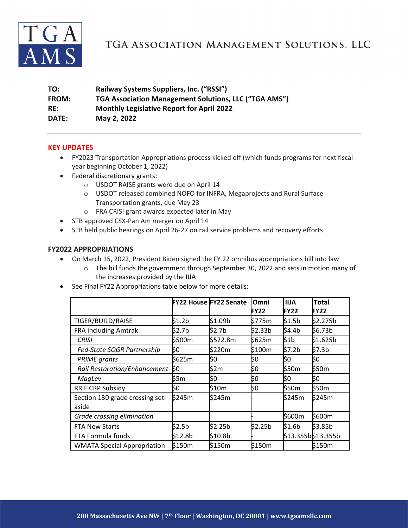

# TGA ASSOCIATION MANAGEMENT SOLUTIONS, LLC

| TO:          | Railway Systems Suppliers, Inc. ("RSSI")                     |
|--------------|--------------------------------------------------------------|
| <b>FROM:</b> | <b>TGA Association Management Solutions, LLC ("TGA AMS")</b> |
| RE:          | <b>Monthly Legislative Report for April 2022</b>             |
| DATE:        | May 2, 2022                                                  |
|              |                                                              |

#### **KEY UPDATES**

- FY2023 Transportation Appropriations process kicked off (which funds programs for next fiscal year beginning October 1, 2022)
- Federal discretionary grants:
	- o USDOT RAISE grants were due on April 14
	- o USDOT released combined NOFO for INFRA, Megaprojects and Rural Surface Transportation grants, due May 23
	- o FRA CRISI grant awards expected later in May
- STB approved CSX-Pan Am merger on April 14
- STB held public hearings on April 26-27 on rail service problems and recovery efforts

#### **FY2022 APPROPRIATIONS**

- On March 15, 2022, President Biden signed the FY 22 omnibus appropriations bill into law
	- o The bill funds the government through September 30, 2022 and sets in motion many of the increases provided by the IIJA
- See Final FY22 Appropriations table below for more details:

|                                          |         | <b>FY22 House FY22 Senate</b> | Omni<br><b>FY22</b> | <b>IIJA</b><br><b>FY22</b> | <b>Total</b><br><b>FY22</b> |
|------------------------------------------|---------|-------------------------------|---------------------|----------------------------|-----------------------------|
| TIGER/BUILD/RAISE                        | \$1.2b  | \$1.09b                       | \$775m              | \$1.5b                     | \$2.275b                    |
| FRA including Amtrak                     | \$2.7b  | \$2.7b                        | \$2.33b             | \$4.4b                     | \$6.73b                     |
| <b>CRISI</b>                             | \$500m  | \$522.8m                      | \$625m              | \$1b                       | \$1.625b                    |
| Fed-State SOGR Partnership               | \$0     | \$220m                        | \$100m              | \$7.2 <sub>b</sub>         | \$7.3 <sub>b</sub>          |
| <b>PRIME</b> grants                      | \$625m  | \$0                           | \$0                 | \$0                        | \$0                         |
| <b>Rail Restoration/Enhancement</b>      | \$0     | \$2m                          | \$0                 | \$50m                      | \$50m                       |
| MagLev                                   | \$5m    | \$0                           | \$0                 | \$0                        | \$0                         |
| RRIF CRP Subsidy                         | \$0     | \$10m                         | \$0                 | \$50m                      | \$50m                       |
| Section 130 grade crossing set-<br>aside | \$245m  | \$245m                        |                     | \$245m                     | \$245m                      |
| Grade crossing elimination               |         |                               |                     | \$600m                     | \$600m                      |
| <b>FTA New Starts</b>                    | \$2.5b  | \$2.25b                       | \$2.25b             | \$1.6 <sub>b</sub>         | \$3.85b                     |
| FTA Formula funds                        | \$12.8b | \$10.8b                       |                     |                            | \$13.355b\$13.355b          |
| <b>WMATA Special Appropriation</b>       | \$150m  | \$150m                        | \$150m              |                            | \$150m                      |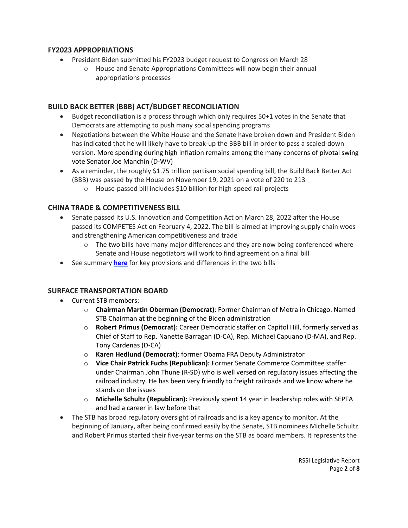#### **FY2023 APPROPRIATIONS**

- President Biden submitted his FY2023 budget request to Congress on March 28
	- o House and Senate Appropriations Committees will now begin their annual appropriations processes

#### **BUILD BACK BETTER (BBB) ACT/BUDGET RECONCILIATION**

- Budget reconciliation is a process through which only requires 50+1 votes in the Senate that Democrats are attempting to push many social spending programs
- Negotiations between the White House and the Senate have broken down and President Biden has indicated that he will likely have to break-up the BBB bill in order to pass a scaled-down version. More spending during high inflation remains among the many concerns of pivotal swing vote Senator Joe Manchin (D-WV)
- As a reminder, the roughly \$1.75 trillion partisan social spending bill, the Build Back Better Act (BBB) was passed by the House on November 19, 2021 on a vote of 220 to 213
	- o House-passed bill includes \$10 billion for high-speed rail projects

#### **CHINA TRADE & COMPETITIVENESS BILL**

- Senate passed its U.S. Innovation and Competition Act on March 28, 2022 after the House passed its COMPETES Act on February 4, 2022. The bill is aimed at improving supply chain woes and strengthening American competitiveness and trade
	- $\circ$  The two bills have many major differences and they are now being conferenced where Senate and House negotiators will work to find agreement on a final bill
- See summary **[here](https://www.akingump.com/en/news-insights/america-competes-act-v-us-innovation-and-competition-actsummary-of-key-differences-and-takeaways-part-2.html)** for key provisions and differences in the two bills

## **SURFACE TRANSPORTATION BOARD**

- Current STB members:
	- o **Chairman Martin Oberman (Democrat)**: Former Chairman of Metra in Chicago. Named STB Chairman at the beginning of the Biden administration
	- o **Robert Primus (Democrat):** Career Democratic staffer on Capitol Hill, formerly served as Chief of Staff to Rep. Nanette Barragan (D-CA), Rep. Michael Capuano (D-MA), and Rep. Tony Cardenas (D-CA)
	- o **Karen Hedlund (Democrat)**: former Obama FRA Deputy Administrator
	- o **Vice Chair Patrick Fuchs (Republican):** Former Senate Commerce Committee staffer under Chairman John Thune (R-SD) who is well versed on regulatory issues affecting the railroad industry. He has been very friendly to freight railroads and we know where he stands on the issues
	- o **Michelle Schultz (Republican):** Previously spent 14 year in leadership roles with SEPTA and had a career in law before that
- The STB has broad regulatory oversight of railroads and is a key agency to monitor. At the beginning of January, after being confirmed easily by the Senate, STB nominees Michelle Schultz and Robert Primus started their five-year terms on the STB as board members. It represents the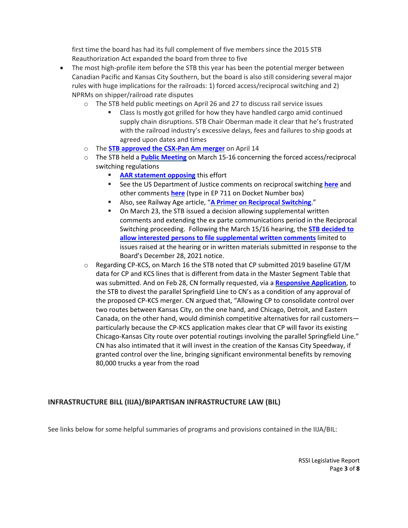first time the board has had its full complement of five members since the 2015 STB Reauthorization Act expanded the board from three to five

- The most high-profile item before the STB this year has been the potential merger between Canadian Pacific and Kansas City Southern, but the board is also still considering several major rules with huge implications for the railroads: 1) forced access/reciprocal switching and 2) NPRMs on shipper/railroad rate disputes
	- $\circ$  The STB held public meetings on April 26 and 27 to discuss rail service issues
		- Class Is mostly got grilled for how they have handled cargo amid continued supply chain disruptions. STB Chair Oberman made it clear that he's frustrated with the railroad industry's excessive delays, fees and failures to ship goods at agreed upon dates and times
	- o The **[STB approved the CSX-Pan Am](https://www.railwayage.com/regulatory/stb-approves-csx-pan-am-combination/) merger** on April 14
	- o The STB held a **Public [Meeting](https://www.govinfo.gov/content/pkg/FR-2022-01-03/pdf/2021-28396.pdf)** on March 15-16 concerning the forced access/reciprocal switching regulations
		- **AAR [statement](https://www.aar.org/forced-switching?utm_source=The+Signal&utm_campaign=a38005e484-EMAIL_CAMPAIGN_2018_01_16_COPY_01&utm_medium=email&utm_term=0_70b8080426-a38005e484-49720605) opposing** this effort
		- See the US Department of Justice comments on reciprocal switching **[here](https://www.justice.gov/atr/page/file/1479511/download)** and other comments **[here](https://www.stb.gov/proceedings-actions/search-stb-records/)** (type in EP 711 on Docket Number box)
		- Also, see Railway Age article, "**A Primer on [Reciprocal](https://www.railwayage.com/regulatory/a-primer-on-reciprocal-switching/?utm_source=&utm_medium=email&utm_campaign=31454) Switching**."
		- On March 23, the STB issued a decision allowing supplemental written comments and extending the ex parte communications period in the Reciprocal Switching proceeding. Following the March 15/16 hearing, the **STB [decided](https://www.stb.gov/news-communications/latest-news/pr-22-19/) to allow interested persons to file [supplemental](https://www.stb.gov/news-communications/latest-news/pr-22-19/) written comments** limited to issues raised at the hearing or in written materials submitted in response to the Board's December 28, 2021 notice.
	- o Regarding CP-KCS, on March 16 the STB noted that CP submitted 2019 baseline GT/M data for CP and KCS lines that is different from data in the Master Segment Table that was submitted. And on Feb 28, CN formally requested, via a **Responsive [Application](https://dcms-external.s3.amazonaws.com/DCMS_External_PROD/1646172009341/304041.pdf)**, to the STB to divest the parallel Springfield Line to CN's as a condition of any approval of the proposed CP-KCS merger. CN argued that, "Allowing CP to consolidate control over two routes between Kansas City, on the one hand, and Chicago, Detroit, and Eastern Canada, on the other hand, would diminish competitive alternatives for rail customers particularly because the CP-KCS application makes clear that CP will favor its existing Chicago-Kansas City route over potential routings involving the parallel Springfield Line." CN has also intimated that it will invest in the creation of the Kansas City Speedway, if granted control over the line, bringing significant environmental benefits by removing 80,000 trucks a year from the road

## **INFRASTRUCTURE BILL (IIJA)/BIPARTISAN INFRASTRUCTURE LAW (BIL)**

See links below for some helpful summaries of programs and provisions contained in the IIJA/BIL: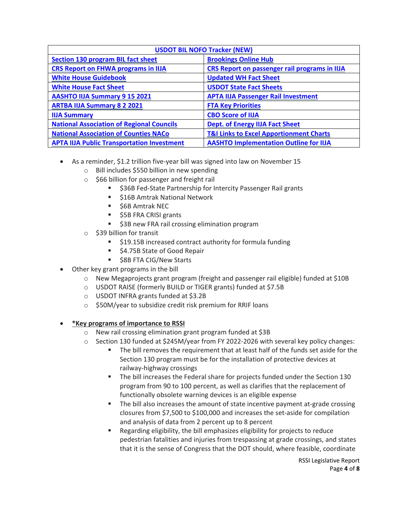| <b>USDOT BIL NOFO Tracker (NEW)</b>               |                                                    |  |  |  |
|---------------------------------------------------|----------------------------------------------------|--|--|--|
| <b>Section 130 program BIL fact sheet</b>         | <b>Brookings Online Hub</b>                        |  |  |  |
| <b>CRS Report on FHWA programs in IIJA</b>        | CRS Report on passenger rail programs in IIJA      |  |  |  |
| <b>White House Guidebook</b>                      | <b>Updated WH Fact Sheet</b>                       |  |  |  |
| <b>White House Fact Sheet</b>                     | <b>USDOT State Fact Sheets</b>                     |  |  |  |
| <b>AASHTO IIJA Summary 9 15 2021</b>              | <b>APTA IIJA Passenger Rail Investment</b>         |  |  |  |
| <b>ARTBA IIJA Summary 8 2 2021</b>                | <b>FTA Key Priorities</b>                          |  |  |  |
| <b>IIJA Summary</b>                               | <b>CBO Score of IIJA</b>                           |  |  |  |
| <b>National Association of Regional Councils</b>  | <b>Dept. of Energy IIJA Fact Sheet</b>             |  |  |  |
| <b>National Association of Counties NACo</b>      | <b>T&amp;I Links to Excel Apportionment Charts</b> |  |  |  |
| <b>APTA IIJA Public Transportation Investment</b> | <b>AASHTO Implementation Outline for IIJA</b>      |  |  |  |

- As a reminder, \$1.2 trillion five-year bill was signed into law on November 15
	- o Bill includes \$550 billion in new spending
	- o \$66 billion for passenger and freight rail
		- **536B Fed-State Partnership for Intercity Passenger Rail grants**
		- **516B Amtrak National Network**
		- **56B Amtrak NEC**
		- \$5B FRA CRISI grants
		- **53B new FRA rail crossing elimination program**
	- o \$39 billion for transit
		- **519.15B increased contract authority for formula funding**
		- \$4.75B State of Good Repair
		- **58B FTA CIG/New Starts**
- Other key grant programs in the bill
	- o New Megaprojects grant program (freight and passenger rail eligible) funded at \$10B
	- o USDOT RAISE (formerly BUILD or TIGER grants) funded at \$7.5B
	- o USDOT INFRA grants funded at \$3.2B
	- o \$50M/year to subsidize credit risk premium for RRIF loans

## • **\*Key programs of importance to RSSI**

- o New rail crossing elimination grant program funded at \$3B
- $\circ$  Section 130 funded at \$245M/year from FY 2022-2026 with several key policy changes:
	- The bill removes the requirement that at least half of the funds set aside for the Section 130 program must be for the installation of protective devices at railway-highway crossings
	- **The bill increases the Federal share for projects funded under the Section 130** program from 90 to 100 percent, as well as clarifies that the replacement of functionally obsolete warning devices is an eligible expense
	- **The bill also increases the amount of state incentive payment at-grade crossing** closures from \$7,500 to \$100,000 and increases the set-aside for compilation and analysis of data from 2 percent up to 8 percent
	- Regarding eligibility, the bill emphasizes eligibility for projects to reduce pedestrian fatalities and injuries from trespassing at grade crossings, and states that it is the sense of Congress that the DOT should, where feasible, coordinate

RSSI Legislative Report Page **4** of **8**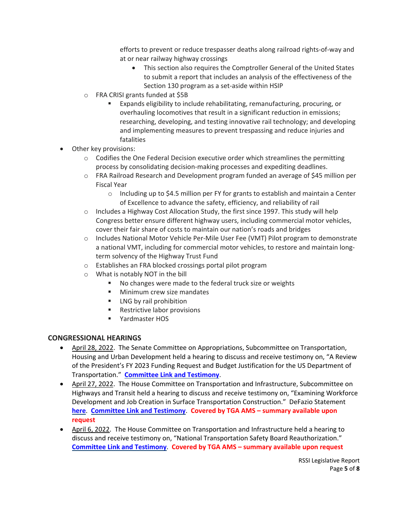efforts to prevent or reduce trespasser deaths along railroad rights-of-way and at or near railway highway crossings

- This section also requires the Comptroller General of the United States to submit a report that includes an analysis of the effectiveness of the Section 130 program as a set-aside within HSIP
- o FRA CRISI grants funded at \$5B
	- Expands eligibility to include rehabilitating, remanufacturing, procuring, or overhauling locomotives that result in a significant reduction in emissions; researching, developing, and testing innovative rail technology; and developing and implementing measures to prevent trespassing and reduce injuries and fatalities
- Other key provisions:
	- $\circ$  Codifies the One Federal Decision executive order which streamlines the permitting process by consolidating decision-making processes and expediting deadlines.
	- o FRA Railroad Research and Development program funded an average of \$45 million per Fiscal Year
		- o Including up to \$4.5 million per FY for grants to establish and maintain a Center of Excellence to advance the safety, efficiency, and reliability of rail
	- $\circ$  Includes a Highway Cost Allocation Study, the first since 1997. This study will help Congress better ensure different highway users, including commercial motor vehicles, cover their fair share of costs to maintain our nation's roads and bridges
	- o Includes National Motor Vehicle Per-Mile User Fee (VMT) Pilot program to demonstrate a national VMT, including for commercial motor vehicles, to restore and maintain longterm solvency of the Highway Trust Fund
	- o Establishes an FRA blocked crossings portal pilot program
	- o What is notably NOT in the bill
		- No changes were made to the federal truck size or weights
		- **Minimum crew size mandates**
		- **EXECUTE:** LNG by rail prohibition
		- **Restrictive labor provisions**
		- Yardmaster HOS

## **CONGRESSIONAL HEARINGS**

- April 28, 2022. The Senate Committee on Appropriations, Subcommittee on Transportation, Housing and Urban Development held a hearing to discuss and receive testimony on, "A Review of the President's FY 2023 Funding Request and Budget Justification for the US Department of Transportation." **[Committee](https://www.appropriations.senate.gov/hearings/a-review-of-the-presidents-fy-2023-funding-request-and-budget-justification-for-the-us-department-of-transportation-) Link and Testimony**.
- April 27, 2022. The House Committee on Transportation and Infrastructure, Subcommittee on Highways and Transit held a hearing to discuss and receive testimony on, "Examining Workforce Development and Job Creation in Surface Transportation Construction." DeFazio Statement **[here](https://transportation.house.gov/news/press-releases/chairs-defazio-norton-statements-from-hearing-on-workforce-development-in-surface-transportation-construction)**. **[Committee](https://transportation.house.gov/committee-activity/hearings/04/18/2022/examining-workforce-development-and-job-creation-in-surface-transportation-construction) Link and Testimony**. **Covered by TGA AMS – summary available upon request**
- April 6, 2022. The House Committee on Transportation and Infrastructure held a hearing to discuss and receive testimony on, "National Transportation Safety Board Reauthorization." **[Committee](https://transportation.house.gov/committee-activity/hearings/national-transportation-safety-board-reauthorization) Link and Testimony**. **Covered by TGA AMS – summary available upon request**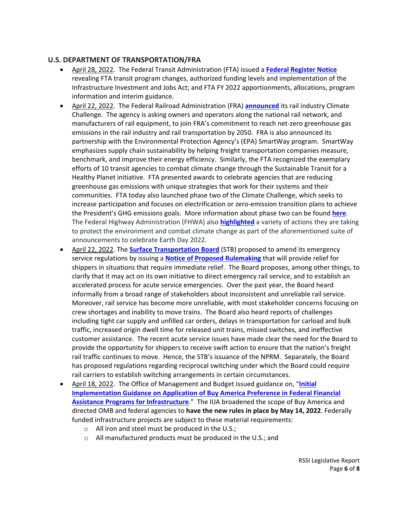#### **U.S. DEPARTMENT OF TRANSPORTATION/FRA**

- April 28, 2022. The Federal Transit Administration (FTA) issued a **Federal [Register](https://www.govinfo.gov/content/pkg/FR-2022-04-28/pdf/2022-09143.pdf?utm_source=federalregister.gov&utm_medium=email&utm_campaign=subscription+mailing+list) Notice** revealing FTA transit program changes, authorized funding levels and implementation of the Infrastructure Investment and Jobs Act; and FTA FY 2022 apportionments, allocations, program information and interim guidance.
- April 22, 2022. The Federal Railroad Administration (FRA) **[announced](https://railroads.dot.gov/newsroom/press-releases/federal-railroad-administration-announces-climate-challenge-meet-net-zero-0)** its rail industry Climate Challenge. The agency is asking owners and operators along the national rail network, and manufacturers of rail equipment, to join FRA's commitment to reach net-zero greenhouse gas emissions in the rail industry and rail transportation by 2050. FRA is also announced its partnership with the Environmental Protection Agency's (EPA) SmartWay program. SmartWay emphasizes supply chain sustainability by helping freight transportation companies measure, benchmark, and improve their energy efficiency. Similarly, the FTA recognized the exemplary efforts of 10 transit agencies to combat climate change through the Sustainable Transit for a Healthy Planet initiative. FTA presented awards to celebrate agencies that are reducing greenhouse gas emissions with unique strategies that work for their systems and their communities. FTA today also launched phase two of the Climate Challenge, which seeks to increase participation and focuses on electrification or zero-emission transition plans to achieve the President's GHG emissions goals. More information about phase two can be found **[here](https://www.transit.dot.gov/climate-challenge)**. The Federal Highway Administration (FHWA) also **[highlighted](https://highways.dot.gov/newsroom/fhwa-highlights-actions-tackle-climate-change-new-programs-and-historic-funding-under)** a variety of actions they are taking to protect the environment and combat climate change as part of the aforementioned suite of announcements to celebrate Earth Day 2022.
- April 22, 2022. The **Surface [Transportation](https://www.stb.gov/news-communications/latest-news/pr-22-23/) Board** (STB) proposed to amend its emergency service regulations by issuing a **Notice of Proposed [Rulemaking](https://www.progressiverailroading.com/resources/editorial/2023/50110.pdf)** that will provide relief for shippers in situations that require immediate relief. The Board proposes, among other things, to clarify that it may act on its own initiative to direct emergency rail service, and to establish an accelerated process for acute service emergencies. Over the past year, the Board heard informally from a broad range of stakeholders about inconsistent and unreliable rail service. Moreover, rail service has become more unreliable, with most stakeholder concerns focusing on crew shortages and inability to move trains. The Board also heard reports of challenges including tight car supply and unfilled car orders, delays in transportation for carload and bulk traffic, increased origin dwell time for released unit trains, missed switches, and ineffective customer assistance. The recent acute service issues have made clear the need for the Board to provide the opportunity for shippers to receive swift action to ensure that the nation's freight rail traffic continues to move. Hence, the STB's issuance of the NPRM. Separately, the Board has proposed regulations regarding reciprocal switching under which the Board could require rail carriers to establish switching arrangements in certain circumstances.
- April 18, 2022. The Office of Management and Budget issued guidance on, "**[Initial](https://www.whitehouse.gov/wp-content/uploads/2022/04/M-22-11.pdf) [Implementation](https://www.whitehouse.gov/wp-content/uploads/2022/04/M-22-11.pdf) Guidance on Application of Buy America Preference in Federal Financial Assistance Programs for [Infrastructure](https://www.whitehouse.gov/wp-content/uploads/2022/04/M-22-11.pdf)**." The IIJA broadened the scope of Buy America and directed OMB and federal agencies to **have the new rules in place by May 14, 2022**. Federally funded infrastructure projects are subject to these material requirements:
	- o All iron and steel must be produced in the U.S.;
	- o All manufactured products must be produced in the U.S.; and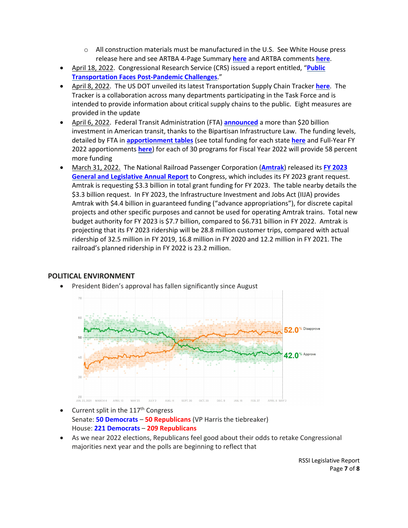- $\circ$  All construction materials must be manufactured in the U.S. See White House press release here and see ARTBA 4-Page Summary **[here](https://newsline.artba.org/wp-content/uploads/2022/04/Buy-America-guidance-summary-ARTBA-4-22.pdf?mc_cid=6cf7714789&mc_eid=5569c7262e)** and ARTBA comments **[here](https://newsline.artba.org/wp-content/uploads/2022/04/ARTBA-Buy-America-comments-OMB-4-22.pdf?mc_cid=6cf7714789&mc_eid=5569c7262e)**.
- April 18, 2022. Congressional Research Service (CRS) issued a report entitled, "**[Public](https://crsreports.congress.gov/product/pdf/IN/IN11913) [Transportation](https://crsreports.congress.gov/product/pdf/IN/IN11913) Faces Post-Pandemic Challenges**."
- April 8, 2022. The US DOT unveiled its latest Transportation Supply Chain Tracker **[here](https://www.transportation.gov/briefing-room/usdot-supply-chain-tracker-shows-progress-supply-chains-remain-stressed)**. The Tracker is a collaboration across many departments participating in the Task Force and is intended to provide information about critical supply chains to the public. Eight measures are provided in the update
- April 6, 2022. Federal Transit Administration (FTA) **[announced](https://www.transit.dot.gov/about/news/president-biden-usdot-announce-more-20-billion-communities-all-sizes-support-transit)** a more than \$20 billion investment in American transit, thanks to the Bipartisan Infrastructure Law. The funding levels, detailed by FTA in **[apportionment](https://www.transit.dot.gov/funding/apportionments/current-apportionments) tables** (see total funding for each state **[here](https://www.transit.dot.gov/sites/fta.dot.gov/files/2022-04/FY-2022-Full-Year-Apportionments-State-Totals.xlsx)** and Full-Year FY 2022 apportionments **[here](https://www.transit.dot.gov/sites/fta.dot.gov/files/2022-04/fy-2022-full-year-apportionment-table-1-FTA-Appropriations-and-Apportionments-Grant-Programs.xlsx)**) for each of 30 programs for Fiscal Year 2022 will provide 58 percent more funding
- March 31, 2022. The National Railroad Passenger Corporation (**[Amtrak](https://www.railpassengers.org/happening-now/news/blog/amtrak-send-ambitious-fy23-grant-request-to-congress/)**) released its **FY [2023](https://www.amtrak.com/content/dam/projects/dotcom/english/public/documents/corporate/reports/Amtrak-General-Legislative-Annual-Report-FY2023-Grant-Request.pdf) General and [Legislative](https://www.amtrak.com/content/dam/projects/dotcom/english/public/documents/corporate/reports/Amtrak-General-Legislative-Annual-Report-FY2023-Grant-Request.pdf) Annual Report** to Congress, which includes its FY 2023 grant request. Amtrak is requesting \$3.3 billion in total grant funding for FY 2023. The table nearby details the \$3.3 billion request. In FY 2023, the Infrastructure Investment and Jobs Act (IIJA) provides Amtrak with \$4.4 billion in guaranteed funding ("advance appropriations"), for discrete capital projects and other specific purposes and cannot be used for operating Amtrak trains. Total new budget authority for FY 2023 is \$7.7 billion, compared to \$6.731 billion in FY 2022. Amtrak is projecting that its FY 2023 ridership will be 28.8 million customer trips, compared with actual ridership of 32.5 million in FY 2019, 16.8 million in FY 2020 and 12.2 million in FY 2021. The railroad's planned ridership in FY 2022 is 23.2 million.

## **POLITICAL ENVIRONMENT**



• President Biden's approval has fallen significantly since August

- Current split in the  $117<sup>th</sup>$  Congress Senate: **50 Democrats** – **50 Republicans** (VP Harris the tiebreaker) House: **221 Democrats** – **209 Republicans**
- As we near 2022 elections, Republicans feel good about their odds to retake Congressional majorities next year and the polls are beginning to reflect that